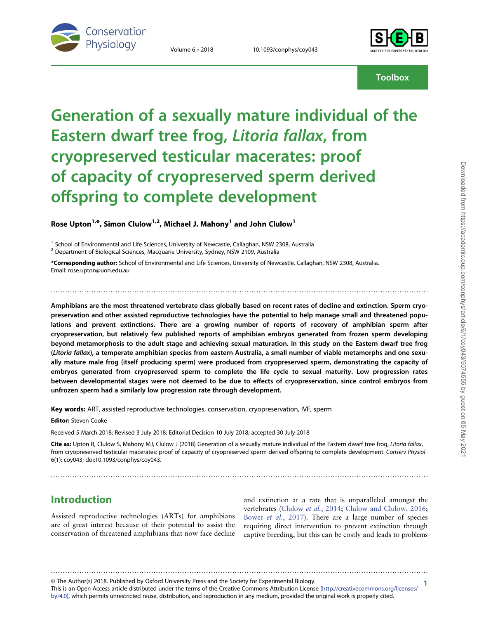

Volume 6 • 2018 10.1093/conphys/coy043



**Toolbox** 

# Generation of a sexually mature individual of the Eastern dwarf tree frog, Litoria fallax, from cryopreserved testicular macerates: proof of capacity of cryopreserved sperm derived offspring to complete development

Rose Upton<sup>1,\*</sup>, Simon Clulow<sup>1,2</sup>, Michael J. Mahony<sup>1</sup> and John Clulow<sup>1</sup>

 $1$  School of Environmental and Life Sciences, University of Newcastle, Callaghan, NSW 2308, Australia

<sup>2</sup> Department of Biological Sciences, Macquarie University, Sydney, NSW 2109, Australia

\*Corresponding author: School of Environmental and Life Sciences, University of Newcastle, Callaghan, NSW 2308, Australia. Email: rose.upton@uon.edu.au

Amphibians are the most threatened vertebrate class globally based on recent rates of decline and extinction. Sperm cryopreservation and other assisted reproductive technologies have the potential to help manage small and threatened populations and prevent extinctions. There are a growing number of reports of recovery of amphibian sperm after cryopreservation, but relatively few published reports of amphibian embryos generated from frozen sperm developing beyond metamorphosis to the adult stage and achieving sexual maturation. In this study on the Eastern dwarf tree frog (Litoria fallax), a temperate amphibian species from eastern Australia, a small number of viable metamorphs and one sexually mature male frog (itself producing sperm) were produced from cryopreserved sperm, demonstrating the capacity of embryos generated from cryopreserved sperm to complete the life cycle to sexual maturity. Low progression rates between developmental stages were not deemed to be due to effects of cryopreservation, since control embryos from unfrozen sperm had a similarly low progression rate through development.

..............................................................................................................................................................

Key words: ART, assisted reproductive technologies, conservation, cryopreservation, IVF, sperm

Editor: Steven Cooke

Received 5 March 2018; Revised 3 July 2018; Editorial Decision 10 July 2018; accepted 30 July 2018

Cite as: Upton R, Clulow S, Mahony MJ, Clulow J (2018) Generation of a sexually mature individual of the Eastern dwarf tree frog, Litoria fallax, from cryopreserved testicular macerates: proof of capacity of cryopreserved sperm derived offspring to complete development. Conserv Physiol 6(1): coy043; doi:10.1093/conphys/coy043.

..............................................................................................................................................................

## Introduction

Assisted reproductive technologies (ARTs) for amphibians are of great interest because of their potential to assist the conservation of threatened amphibians that now face decline

and extinction at a rate that is unparalleled amongst the vertebrates ([Clulow](#page-4-0) et al., 2014; [Clulow and Clulow, 2016;](#page-4-0) Bower et al.[, 2017\)](#page-3-0). There are a large number of species requiring direct intervention to prevent extinction through captive breeding, but this can be costly and leads to problems

1 © The Author(s) 2018. Published by Oxford University Press and the Society for Experimental Biology.

This is an Open Access article distributed under the terms of the Creative Commons Attribution License [\(http://creativecommons.org/licenses/](http://creativecommons.org/licenses/by/4.0/) [by/4.0](http://creativecommons.org/licenses/by/4.0/)), which permits unrestricted reuse, distribution, and reproduction in any medium, provided the original work is properly cited.

..............................................................................................................................................................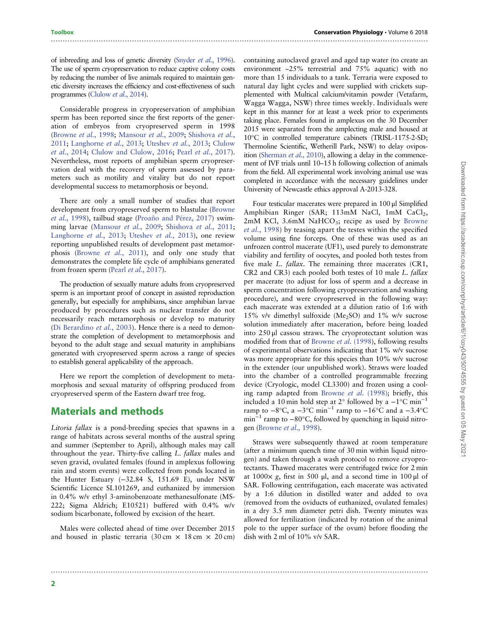of inbreeding and loss of genetic diversity [\(Snyder](#page-4-0) et al., 1996). The use of sperm cryopreservation to reduce captive colony costs by reducing the number of live animals required to maintain genetic diversity increases the efficiency and cost-effectiveness of such programmes [\(Clulow](#page-4-0) et al., 2014).

..............................................................................................................................................................

Considerable progress in cryopreservation of amphibian sperm has been reported since the first reports of the generation of embryos from cryopreserved sperm in 1998 [\(Browne](#page-3-0) et al., 1998; [Mansour](#page-4-0) et al., 2009; [Shishova](#page-4-0) et al., [2011](#page-4-0); [Langhorne](#page-4-0) et al., 2013; [Uteshev](#page-4-0) et al., 2013; [Clulow](#page-4-0) et al.[, 2014;](#page-4-0) [Clulow and Clulow, 2016;](#page-4-0) Pearl et al.[, 2017](#page-4-0)). Nevertheless, most reports of amphibian sperm cryopreservation deal with the recovery of sperm assessed by parameters such as motility and vitality but do not report developmental success to metamorphosis or beyond.

There are only a small number of studies that report development from cryopreserved sperm to blastulae ([Browne](#page-3-0) et al.[, 1998\)](#page-3-0), tailbud stage ([Proaño and Pérez, 2017\)](#page-4-0) swim-ming larvae [\(Mansour](#page-4-0) et al., 2009; [Shishova](#page-4-0) et al., 2011; [Langhorne](#page-4-0) et al., 2013; [Uteshev](#page-4-0) et al., 2013), one review reporting unpublished results of development past metamorphosis [\(Browne](#page-3-0) et al., 2011), and only one study that demonstrates the complete life cycle of amphibians generated from frozen sperm (Pearl et al.[, 2017](#page-4-0)).

The production of sexually mature adults from cryopreserved sperm is an important proof of concept in assisted reproduction generally, but especially for amphibians, since amphibian larvae produced by procedures such as nuclear transfer do not necessarily reach metamorphosis or develop to maturity [\(Di Berardino](#page-4-0) et al., 2003). Hence there is a need to demonstrate the completion of development to metamorphosis and beyond to the adult stage and sexual maturity in amphibians generated with cryopreserved sperm across a range of species to establish general applicability of the approach.

Here we report the completion of development to metamorphosis and sexual maturity of offspring produced from cryopreserved sperm of the Eastern dwarf tree frog.

#### Materials and methods

Litoria fallax is a pond-breeding species that spawns in a range of habitats across several months of the austral spring and summer (September to April), although males may call throughout the year. Thirty-five calling L. fallax males and seven gravid, ovulated females (found in amplexus following rain and storm events) were collected from ponds located in the Hunter Estuary (−32.84 S, 151.69 E), under NSW Scientific Licence SL101269, and euthanized by immersion in 0.4% w/v ethyl 3-aminobenzoate methanesulfonate (MS-222; Sigma Aldrich; E10521) buffered with 0.4% w/v sodium bicarbonate, followed by excision of the heart.

Males were collected ahead of time over December 2015 and housed in plastic terraria  $(30 \text{ cm} \times 18 \text{ cm} \times 20 \text{ cm})$ 

..............................................................................................................................................................

containing autoclaved gravel and aged tap water (to create an environment ~25% terrestrial and 75% aquatic) with no more than 15 individuals to a tank. Terraria were exposed to natural day light cycles and were supplied with crickets supplemented with Multical calcium/vitamin powder (Vetafarm, Wagga Wagga, NSW) three times weekly. Individuals were kept in this manner for at least a week prior to experiments taking place. Females found in amplexus on the 30 December 2015 were separated from the amplecting male and housed at 10°C in controlled temperature cabinets (TRISL-1175-2-SD; Thermoline Scientific, Wetherill Park, NSW) to delay oviposition [\(Sherman](#page-4-0) et al., 2010), allowing a delay in the commencement of IVF trials until 10–15 h following collection of animals from the field. All experimental work involving animal use was completed in accordance with the necessary guidelines under University of Newcastle ethics approval A-2013-328.

Four testicular macerates were prepared in 100 μl Simplified Amphibian Ringer (SAR; 113mM NaCl, 1mM CaCl<sub>2</sub>,  $2mM$  KCl,  $3.6mM$  NaHCO<sub>3</sub>; recipe as used by [Browne](#page-3-0) et al.[, 1998\)](#page-3-0) by teasing apart the testes within the specified volume using fine forceps. One of these was used as an unfrozen control macerate (UF1), used purely to demonstrate viability and fertility of oocytes, and pooled both testes from five male L. *fallax*. The remaining three macerates (CR1, CR2 and CR3) each pooled both testes of 10 male L. fallax per macerate (to adjust for loss of sperm and a decrease in sperm concentration following cryopreservation and washing procedure), and were cryopreserved in the following way: each macerate was extended at a dilution ratio of 1:6 with 15% v/v dimethyl sulfoxide (Me<sub>2</sub>SO) and 1% w/v sucrose solution immediately after maceration, before being loaded into 250 μl cassou straws. The cryoprotectant solution was modified from that of [Browne](#page-3-0) et al. (1998), following results of experimental observations indicating that 1% w/v sucrose was more appropriate for this species than 10% w/v sucrose in the extender (our unpublished work). Straws were loaded into the chamber of a controlled programmable freezing device (Cryologic, model CL3300) and frozen using a cooling ramp adapted from [Browne](#page-3-0) et al. (1998); briefly, this included a 10 min hold step at 2° followed by a  $-1$ °C min<sup>-1</sup> ramp to  $-8^{\circ}$ C, a  $-3^{\circ}$ C min<sup>-1</sup> ramp to  $-16^{\circ}$ C and a  $-3.4^{\circ}$ C  $min^{-1}$  ramp to  $-80^{\circ}$ C, followed by quenching in liquid nitrogen ([Browne](#page-3-0) et al., 1998).

Straws were subsequently thawed at room temperature (after a minimum quench time of 30 min within liquid nitrogen) and taken through a wash protocol to remove cryoprotectants. Thawed macerates were centrifuged twice for 2 min at  $1000 \times g$ , first in 500 μl, and a second time in 100 μl of SAR. Following centrifugation, each macerate was activated by a 1:6 dilution in distilled water and added to ova (removed from the oviducts of euthanized, ovulated females) in a dry 3.5 mm diameter petri dish. Twenty minutes was allowed for fertilization (indicated by rotation of the animal pole to the upper surface of the ovum) before flooding the dish with 2 ml of 10% v/v SAR.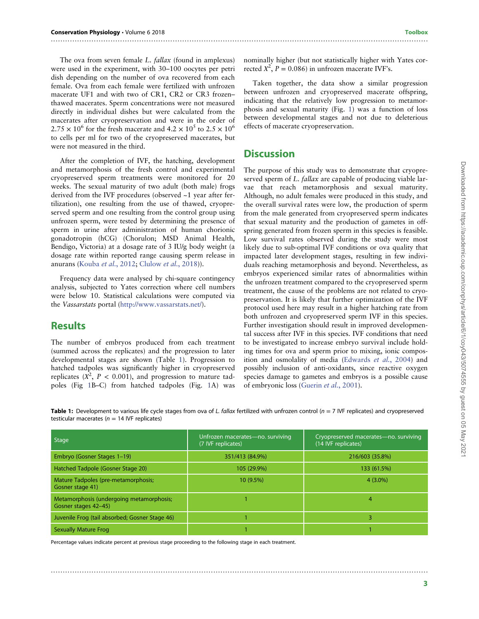The ova from seven female L. fallax (found in amplexus) were used in the experiment, with 30–100 oocytes per petri dish depending on the number of ova recovered from each female. Ova from each female were fertilized with unfrozen macerate UF1 and with two of CR1, CR2 or CR3 frozen– thawed macerates. Sperm concentrations were not measured directly in individual dishes but were calculated from the macerates after cryopreservation and were in the order of  $2.75 \times 10^6$  for the fresh macerate and  $4.2 \times 10^5$  to  $2.5 \times 10^6$ to cells per ml for two of the cryopreserved macerates, but were not measured in the third.

After the completion of IVF, the hatching, development and metamorphosis of the fresh control and experimental cryopreserved sperm treatments were monitored for 20 weeks. The sexual maturity of two adult (both male) frogs derived from the IVF procedures (observed ~1 year after fertilization), one resulting from the use of thawed, cryopreserved sperm and one resulting from the control group using unfrozen sperm, were tested by determining the presence of sperm in urine after administration of human chorionic gonadotropin (hCG) (Chorulon; MSD Animal Health, Bendigo, Victoria) at a dosage rate of 3 IU/g body weight (a dosage rate within reported range causing sperm release in anurans [\(Kouba](#page-4-0) et al., 2012; [Clulow](#page-4-0) et al., 2018)).

Frequency data were analysed by chi-square contingency analysis, subjected to Yates correction where cell numbers were below 10. Statistical calculations were computed via the Vassarstats portal ([http://www.vassarstats.net/\)](http://www.vassarstats.net/).

#### **Results**

The number of embryos produced from each treatment (summed across the replicates) and the progression to later developmental stages are shown (Table 1). Progression to hatched tadpoles was significantly higher in cryopreserved replicates  $(X^2, P < 0.001)$ , and progression to mature tad-<br>poles (Fig. 1B-C), from hatched tadpoles (Fig. 1A), was poles (Fig [1B](#page-3-0)–C) from hatched tadpoles (Fig. [1](#page-3-0)A) was

nominally higher (but not statistically higher with Yates corrected  $X^2$ ,  $P = 0.086$ ) in unfrozen macerate IVF's.

Taken together, the data show a similar progression between unfrozen and cryopreserved macerate offspring, indicating that the relatively low progression to metamorphosis and sexual maturity (Fig. [1](#page-3-0)) was a function of loss between developmental stages and not due to deleterious effects of macerate cryopreservation.

#### **Discussion**

..............................................................................................................................................................

The purpose of this study was to demonstrate that cryopreserved sperm of L. fallax are capable of producing viable larvae that reach metamorphosis and sexual maturity. Although, no adult females were produced in this study, and the overall survival rates were low, the production of sperm from the male generated from cryopreserved sperm indicates that sexual maturity and the production of gametes in offspring generated from frozen sperm in this species is feasible. Low survival rates observed during the study were most likely due to sub-optimal IVF conditions or ova quality that impacted later development stages, resulting in few individuals reaching metamorphosis and beyond. Nevertheless, as embryos experienced similar rates of abnormalities within the unfrozen treatment compared to the cryopreserved sperm treatment, the cause of the problems are not related to cryopreservation. It is likely that further optimization of the IVF protocol used here may result in a higher hatching rate from both unfrozen and cryopreserved sperm IVF in this species. Further investigation should result in improved developmental success after IVF in this species. IVF conditions that need to be investigated to increase embryo survival include holding times for ova and sperm prior to mixing, ionic composition and osmolality of media ([Edwards](#page-4-0) et al., 2004) and possibly inclusion of anti-oxidants, since reactive oxygen species damage to gametes and embryos is a possible cause of embryonic loss [\(Guerin](#page-4-0) et al., 2001).

Table 1: Development to various life cycle stages from ova of L. fallax fertilized with unfrozen control ( $n = 7$  IVF replicates) and cryopreserved testicular macerates ( $n = 14$  IVF replicates)

| Stage                                                            | Unfrozen macerates-no. surviving<br>(7 IVF replicates) | Cryopreserved macerates-no. surviving<br>(14 IVF replicates) |
|------------------------------------------------------------------|--------------------------------------------------------|--------------------------------------------------------------|
| Embryo (Gosner Stages 1-19)                                      | 351/413 (84.9%)                                        | 216/603 (35.8%)                                              |
| Hatched Tadpole (Gosner Stage 20)                                | 105 (29.9%)                                            | 133 (61.5%)                                                  |
| Mature Tadpoles (pre-metamorphosis;<br>Gosner stage 41)          | $10(9.5\%)$                                            | $4(3.0\%)$                                                   |
| Metamorphosis (undergoing metamorphosis;<br>Gosner stages 42-45) |                                                        | 4                                                            |
| Juvenile Frog (tail absorbed; Gosner Stage 46)                   |                                                        |                                                              |
| <b>Sexually Mature Frog</b>                                      |                                                        |                                                              |

..............................................................................................................................................................

Percentage values indicate percent at previous stage proceeding to the following stage in each treatment.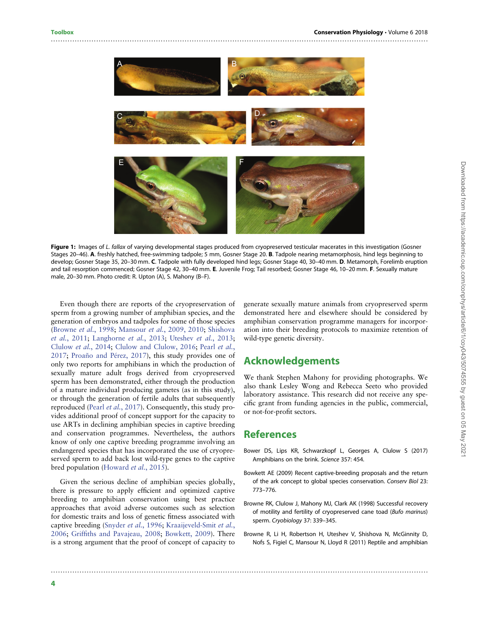

<span id="page-3-0"></span>..............................................................................................................................................................

Figure 1: Images of L. fallax of varying developmental stages produced from cryopreserved testicular macerates in this investigation (Gosner Stages 20–46). A. freshly hatched, free-swimming tadpole; 5 mm, Gosner Stage 20. B. Tadpole nearing metamorphosis, hind legs beginning to develop; Gosner Stage 35, 20-30 mm. C. Tadpole with fully developed hind legs; Gosner Stage 40, 30-40 mm. D. Metamorph, Forelimb eruption and tail resorption commenced; Gosner Stage 42, 30–40 mm. E. Juvenile Frog; Tail resorbed; Gosner Stage 46, 10–20 mm. F. Sexually mature male, 20–30 mm. Photo credit: R. Upton (A), S. Mahony (B–F).

Even though there are reports of the cryopreservation of sperm from a growing number of amphibian species, and the generation of embryos and tadpoles for some of those species (Browne et al., 1998; Mansour et al.[, 2009, 2010;](#page-4-0) [Shishova](#page-4-0) et al.[, 2011;](#page-4-0) [Langhorne](#page-4-0) et al., 2013; [Uteshev](#page-4-0) et al., 2013; [Clulow](#page-4-0) et al., 2014; [Clulow and Clulow, 2016](#page-4-0); [Pearl](#page-4-0) et al., [2017](#page-4-0); [Proaño and Pérez, 2017](#page-4-0)), this study provides one of only two reports for amphibians in which the production of sexually mature adult frogs derived from cryopreserved sperm has been demonstrated, either through the production of a mature individual producing gametes (as in this study), or through the generation of fertile adults that subsequently reproduced (Pearl et al.[, 2017](#page-4-0)). Consequently, this study provides additional proof of concept support for the capacity to use ARTs in declining amphibian species in captive breeding and conservation programmes. Nevertheless, the authors know of only one captive breeding programme involving an endangered species that has incorporated the use of cryopreserved sperm to add back lost wild-type genes to the captive bred population ([Howard](#page-4-0) et al., 2015).

Given the serious decline of amphibian species globally, there is pressure to apply efficient and optimized captive breeding to amphibian conservation using best practice approaches that avoid adverse outcomes such as selection for domestic traits and loss of genetic fitness associated with captive breeding [\(Snyder](#page-4-0) et al., 1996; [Kraaijeveld-Smit](#page-4-0) et al., [2006](#page-4-0); Griffi[ths and Pavajeau, 2008](#page-4-0); Bowkett, 2009). There is a strong argument that the proof of concept of capacity to

generate sexually mature animals from cryopreserved sperm demonstrated here and elsewhere should be considered by amphibian conservation programme managers for incorporation into their breeding protocols to maximize retention of wild-type genetic diversity.

### Acknowledgements

We thank Stephen Mahony for providing photographs. We also thank Lesley Wong and Rebecca Seeto who provided laboratory assistance. This research did not receive any specific grant from funding agencies in the public, commercial, or not-for-profit sectors.

#### References

..............................................................................................................................................................

- Bower DS, Lips KR, Schwarzkopf L, Georges A, Clulow S (2017) Amphibians on the brink. Science 357: 454.
- Bowkett AE (2009) Recent captive‐breeding proposals and the return of the ark concept to global species conservation. Conserv Biol 23: 773–776.
- Browne RK, Clulow J, Mahony MJ, Clark AK (1998) Successful recovery of motility and fertility of cryopreserved cane toad (Bufo marinus) sperm. Cryobiology 37: 339–345.
- Browne R, Li H, Robertson H, Uteshev V, Shishova N, McGinnity D, Nofs S, Figiel C, Mansour N, Lloyd R (2011) Reptile and amphibian